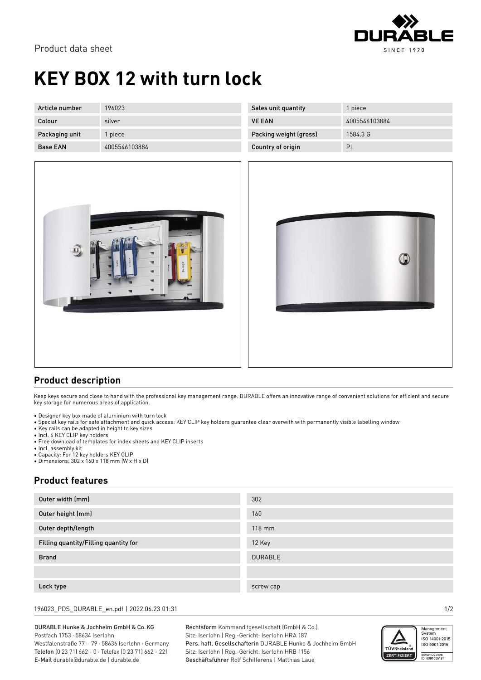

# **KEY BOX 12 with turn lock**

| Article number  | 196023        |
|-----------------|---------------|
| Colour          | silver        |
| Packaging unit  | 1 piece       |
| <b>Base EAN</b> | 4005546103884 |

| Sales unit quantity    | 1 piece       |
|------------------------|---------------|
| <b>VE EAN</b>          | 4005546103884 |
| Packing weight (gross) | 1584.3 G      |
| Country of origin      | PL            |





### **Product description**

Keep keys secure and close to hand with the professional key management range. DURABLE offers an innovative range of convenient solutions for efficient and secure key storage for numerous areas of application.

- Designer key box made of aluminium with turn lock
- Special key rails for safe attachment and quick access: KEY CLIP key holders guarantee clear overwith with permanently visible labelling window
- Key rails can be adapted in height to key sizes
- Incl. 6 KEY CLIP key holders
- Free download of templates for index sheets and KEY CLIP inserts
- Incl. assembly kit
- Capacity: For 12 key holders KEY CLIP
- Dimensions: 302 x 160 x 118 mm (W x H x D)

### **Product features**

| Outer width (mm)                      | 302              |
|---------------------------------------|------------------|
| Outer height (mm)                     | 160              |
| Outer depth/length                    | $118 \text{ mm}$ |
| Filling quantity/Filling quantity for | 12 Key           |
| <b>Brand</b>                          | <b>DURABLE</b>   |
|                                       |                  |
| Lock type                             | screw cap        |

196023\_PDS\_DURABLE\_en.pdf | 2022.06.23 01:31 1/2

#### DURABLE Hunke & Jochheim GmbH & Co.KG Postfach 1753 · 58634 Iserlohn

Westfalenstraße 77 – 79 · 58636 Iserlohn · Germany Telefon (0 23 71) 662 - 0 · Telefax (0 23 71) 662 - 221 E-Mail durable@durable.de | durable.de

Rechtsform Kommanditgesellschaft (GmbH & Co.) Sitz: Iserlohn | Reg.-Gericht: Iserlohn HRA 187 Pers. haft. Gesellschafterin DURABLE Hunke & Jochheim GmbH Sitz: Iserlohn | Reg.-Gericht: Iserlohn HRB 1156 Geschäftsführer Rolf Schifferens | Matthias Laue